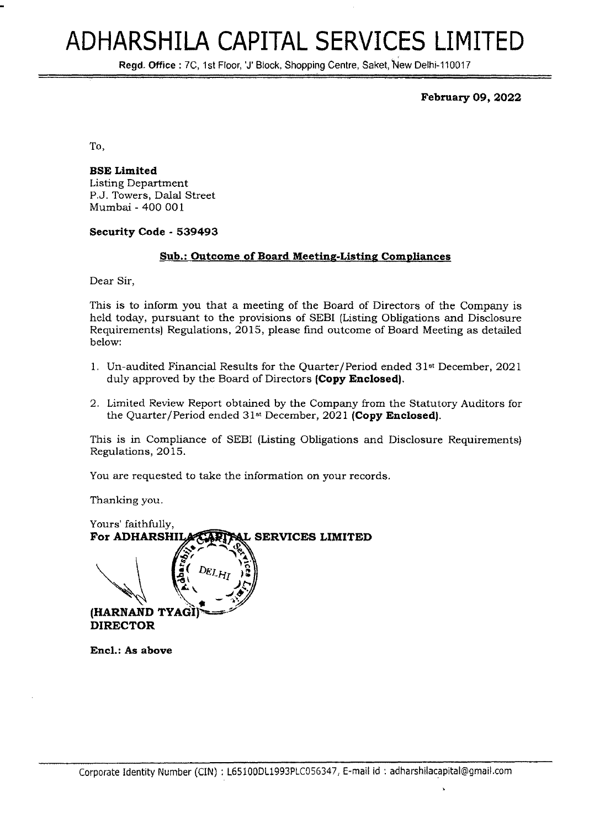# **ADHARSHILA CAPITAL SERVICES LIMITED**

Regd. Office: 7C, 1st Floor, 'J' Block, Shopping Centre, Saket, New Delhi-110017

**February 09,2022**

To,

**BSE Limited** Listing Department P.J. Towers, Dalal Street Mumbai - 400 001

**Security Code - 539493**

#### **Sub.: Outcome of Board Meeting-Listing Compliances**

Dear Sir,

This is to inform you that a meeting of the Board of Directors of the Company is held today, pursuant to the provisions of SEBI (Listing Obligations and Disclosure Requirements) Regulations, 2015, please find outcome of Board Meeting as detailed below:

- 1. Un-audited Financial Results for the Quarter/Period ended 31st December, 2021 duly approved by the Board of Directors **(Copy Enclosed).**
- 2. Limited Review Report obtained by the Company from the Statutory Auditors for the Quarter/Period ended 31st December, 2021 **(Copy Enclosed).**

This is in Compliance of SEBI (Listing Obligations and Disclosure Requirements) Regulations, 2015.

You are requested to take the information on your records.

Thanking you.

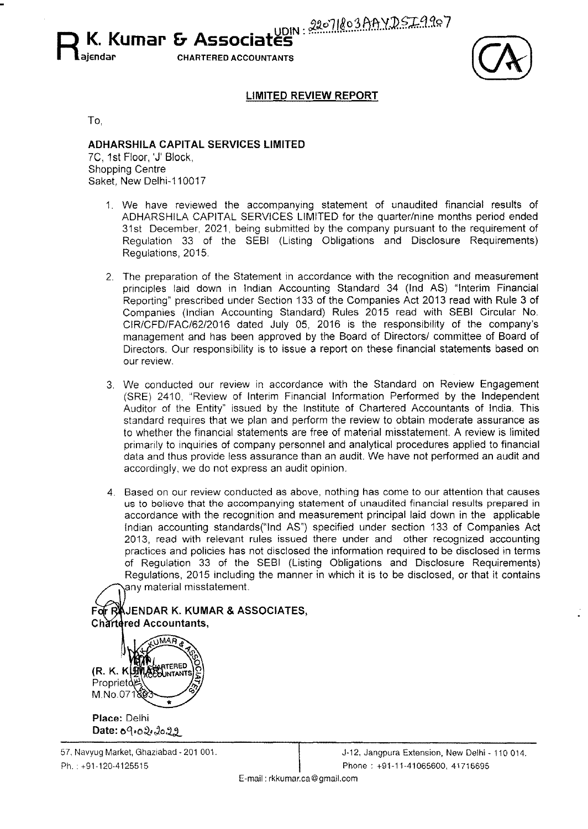R **K. Kumar <b>&** Associat<sup>yDIN: 22071803AAYDSI4407</sup> **ajendar CHARTERED ACCOUNTANTS**

### **LIMITED REVIEW REPORT**

To,

## **ADHARSHILA CAPITAL SERVICES LIMITED** *tc.* 1st Floor, 'J' Block,

Shopping Centre Saket, New Delhi-110017

- 1. We have reviewed the accompanying statement of unaudited financial results of ADHARSHILA CAPITAL SERVICES LIMITED for the quarter/nine months period ended 31st December, 2021, being submitted by the company pursuant to the requirement of Regulation 33 of the SEBI (Listing Obligations and Disclosure Requirements) Regulations, 2015.
- 2. The preparation of the Statement in accordance with the recognition and measurement principles laid down in Indian Accounting Standard 34 (Ind AS) "Interim Financial Reporting" prescribed under Section 133 of the Companies Act 2013 read with Rule 3 of Companies (Indian Accounting Standard) Rules 2015 read with SEBI Circular No. CIR/CFD/FAC/62/2016 dated July 05, 2016 is the responsibility of the company's management and has been approved by the Board of Directors/ committee of Board of Directors. Our responsibility is to issue a report on these financial statements based on our review.
- 3. We conducted our review in accordance with the Standard on Review Engagement (SRE) 2410, "Review of Interim Financial Information Performed by the Independent Auditor of the Entity" issued by the Institute of Chartered Accountants of India. This standard requires that we plan and perform the review to obtain moderate assurance as to whether the financial statements are free of material misstatement. A review is limited primarily to inquiries of company personnel and analytical procedures applied to financial data and thus provide less assurance than an audit. We have not performed an audit and accordingly, we do not express an audit opinion.
- 4. Based on our review conducted as above, nothing has come to our attention that causes us to believe that the accompanying statement of unaudited financial results prepared in accordance with the recognition and measurement principal laid down in the applicable Indian accounting standards("lnd AS") specified under section 133 of Companies Act 2013, read with relevant rules issued there under and other recognized accounting practices and policies has not disclosed the information required to be disclosed in terms of Regulation 33 of the SEBI (Listing Obligations and Disclosure Requirements) Regulations, 2015 including the manner in which it is to be disclosed, or that it contains any material misstatement.

**JENDAR K. KUMAR & ASSOCIATES, Chartered Accountants,** 

(R. K. KLANCHARTERED Proprietd<sup>pul</sup> M.No.07180

**Place:** Delhi Date: 09.02.2029

57. Navyug Market, Ghaziabad - 201 001. Ph. : +91-120-4125515

J-12, Jangpura Extension, New Delhi - 110 014. Phone: +91-11-41065600, 41716695

E-mail: [rkkumar.ca@gmail.com](mailto:rkkumar.ca@gmail.com)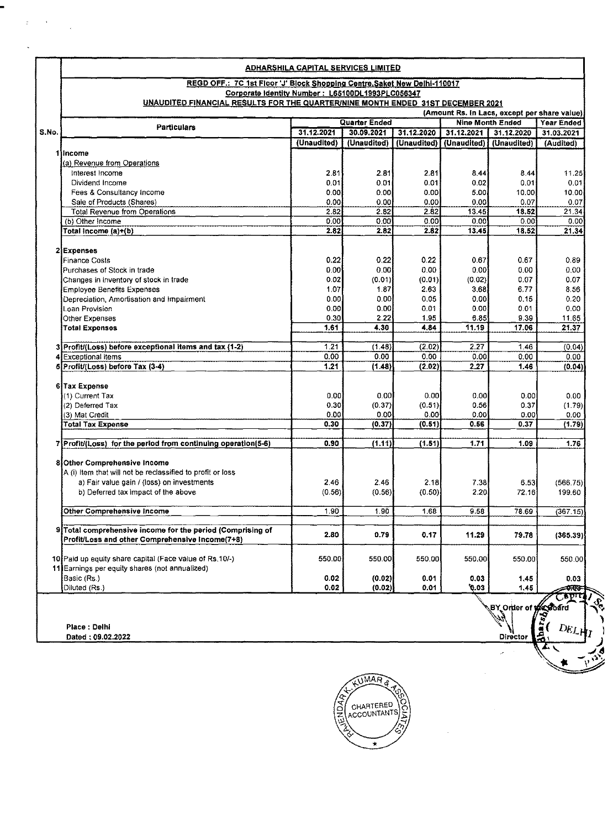|       | REGD OFF.: 7C 1st Floor 'J' Block Shopping Centre, Saket New Delhi-110017<br>Corporate Identity Number: L65100DL1993PLC056347<br>UNAUDITED FINANCIAL RESULTS FOR THE QUARTER/NINE MONTH ENDED 31ST DECEMBER 2021<br>(Amount Rs. In Lacs, except per share value). |               |              |                |                  |             |            |  |
|-------|-------------------------------------------------------------------------------------------------------------------------------------------------------------------------------------------------------------------------------------------------------------------|---------------|--------------|----------------|------------------|-------------|------------|--|
|       |                                                                                                                                                                                                                                                                   |               |              |                |                  |             |            |  |
|       | <b>Particulars</b>                                                                                                                                                                                                                                                | Quarter Ended |              |                | Nine Month Ended |             | Year Ended |  |
| S.No. |                                                                                                                                                                                                                                                                   | 31.12.2021    | 30.09.2021   | 31.12.2020     | 31.12.2021       | 31.12.2020  | 31.03.2021 |  |
|       |                                                                                                                                                                                                                                                                   | (Unaudited)   | (Unaudited)  | (Unaudited)    | (Unaudited)      | (Unaudited) | (Audited)  |  |
|       | 1 lincome                                                                                                                                                                                                                                                         |               |              |                |                  |             |            |  |
|       | (a) Revenue from Operations                                                                                                                                                                                                                                       |               |              |                |                  |             |            |  |
|       | Interest Income                                                                                                                                                                                                                                                   | 2.81          | 2.81         | 2.81           | 8.44             | 8.44        | 11.25      |  |
|       | Dividend Income                                                                                                                                                                                                                                                   | 0.01          | 0.01         | 0.01           | 0.02             | 0.01        | 0.01       |  |
|       | Fees & Consultancy Income                                                                                                                                                                                                                                         | 0.00          | 0.00         | 0.00           | 5.00             | 10.00       | 10.00      |  |
|       | Sale of Products (Shares)                                                                                                                                                                                                                                         | 0.00          | 0.00         | 0.00           | 0.00             | 0.07        | 0.07       |  |
|       | <b>Total Revenue from Operations</b>                                                                                                                                                                                                                              | 2.82          | 2.82         | 2.82           | 13.45            | 18.52       | 21.34      |  |
|       | (b) Other Income                                                                                                                                                                                                                                                  | 0.00          | 0.00         | 0.00           | 0.00             | 0.00        | 0.00       |  |
|       | Total Income (a)+(b)                                                                                                                                                                                                                                              | 2.82          | 2.82         | 2.82           | 13.45            | 18.52       | 21.34      |  |
|       |                                                                                                                                                                                                                                                                   |               |              |                |                  |             |            |  |
|       | 2 Expenses                                                                                                                                                                                                                                                        |               |              |                |                  |             |            |  |
|       | <b>Finance Costs</b>                                                                                                                                                                                                                                              | 0.22<br>0.00  | 0.22<br>0.00 | 0.22<br>0.00   | 0.67<br>0.00     | 0.67        | 0.89       |  |
|       | Purchases of Stock in trade                                                                                                                                                                                                                                       |               |              |                |                  | 0.00        | 0.00       |  |
|       | Changes in inventory of stock in trade                                                                                                                                                                                                                            | 0.02          | (0.01)       | (0.01)<br>2.63 | (0.02)           | 0.07        | 0.07       |  |
|       | <b>Employee Benefits Expenses</b>                                                                                                                                                                                                                                 | 1.07          | 1.87         | 0.05           | 3.68             | 6.77        | 8.56       |  |
|       | Depreciation, Amortisation and Impairment                                                                                                                                                                                                                         | 0.00          | 0.00         |                | 0.00             | 0.15        | 0.20       |  |
|       | Loan Provision                                                                                                                                                                                                                                                    | 0.00          | 0.00         | 0.01           | 0.00             | 0.01        | 0.00       |  |
|       | Other Expenses                                                                                                                                                                                                                                                    | 0.30          | 2.22         | 1.95           | 6.85             | 9.39        | 11.65      |  |
|       | <b>Total Expenses</b>                                                                                                                                                                                                                                             | 1.61          | 4.30         | 4.84           | 11.19            | 17.06       | 21.37      |  |
|       | 3 Profit/(Loss) before exceptional items and tax (1-2)                                                                                                                                                                                                            | 1.21          | (1.48)       | (2.02)         | 2.27             | 1.46        | (0.04)     |  |
|       | 4 Exceptional items                                                                                                                                                                                                                                               | 0.00          | 0.00         | 0.00           | 0.00             | 0.00        | 0.00       |  |
|       | 5 Profit/(Loss) before Tax (3-4)                                                                                                                                                                                                                                  | 1.21          | (1.48)       | (2.02)         | 2.27             | 1.46        | (0.04)     |  |
|       |                                                                                                                                                                                                                                                                   |               |              |                |                  |             |            |  |
|       | 6 Tax Expense                                                                                                                                                                                                                                                     |               |              |                |                  |             |            |  |
|       | (1) Current Tax                                                                                                                                                                                                                                                   | 0.00          | 0.00         | 0.00           | 0.00             | 0.00        | 0.00       |  |
|       | (2) Deferred Tax                                                                                                                                                                                                                                                  | 0.30          | (0.37)       | (0.51)         | 0.56             | 0.37        | (1.79)     |  |
|       | (3) Mat Credit                                                                                                                                                                                                                                                    | 0.00          | 0.00         | 0.00           | 0.00             | 0.00        | 0.00       |  |
|       | <b>Total Tax Expense</b>                                                                                                                                                                                                                                          | 0.30          | (0.37)       | (0.51)         | 0.56             | 0.37        | (1.79)     |  |
|       | 7 Profit/(Loss) for the period from continuing operation(5-6)                                                                                                                                                                                                     | 0.90          | (1.11)       | (1.51)         | 1.71             | 1.09        | 1.76       |  |
|       |                                                                                                                                                                                                                                                                   |               |              |                |                  |             |            |  |
|       | 8 Other Comprehensive Income                                                                                                                                                                                                                                      |               |              |                |                  |             |            |  |
|       | A (i) item that will not be reclassified to profit or loss                                                                                                                                                                                                        |               |              |                |                  |             |            |  |
|       | a) Fair value gain / (loss) on investments                                                                                                                                                                                                                        | 2.46          | 246          | 2.18           | 7.38             | 6.53        | (566.75)   |  |
|       | b) Deferred tax impact of the above                                                                                                                                                                                                                               | (0.56)        | (0.56)       | (0.50)         | 2.20             | 72.16       | 199.60     |  |
|       | Other Comprehensive Income                                                                                                                                                                                                                                        | 1.90          |              | 1.68           |                  |             |            |  |
|       |                                                                                                                                                                                                                                                                   |               | 1.90         |                | 9.58             | 78.69       | (367.15)   |  |
|       | 9 Total comprehensive income for the period (Comprising of                                                                                                                                                                                                        |               |              |                |                  |             |            |  |
|       | Profit/Loss and other Comprehensive Income(7+8)                                                                                                                                                                                                                   | 2.80          | 0.79         | 0.17           | 11.29            | 79.78       | (365.39)   |  |
|       |                                                                                                                                                                                                                                                                   |               |              |                |                  |             |            |  |
|       | 10 Paid up equity share capital (Face value of Rs.10/-)                                                                                                                                                                                                           | 550.00        | 550.00       | 550.00         | 550.00           | 550.00      | 550.00     |  |
|       | 11 Earnings per equity shares (not annualized)                                                                                                                                                                                                                    |               |              |                |                  |             |            |  |
|       | Basic (Rs.)                                                                                                                                                                                                                                                       | 0.02          | (0.02)       | 0.01           | 0.03             | 1,45        | 0.03       |  |
|       | Diluted (Rs.)                                                                                                                                                                                                                                                     | 0.02          | (0.02)       | 0.01           | 0.03             | 1.45        |            |  |
|       |                                                                                                                                                                                                                                                                   |               |              |                |                  |             | ್ಲಾ ರಗ     |  |
|       | BY Order of #436ard                                                                                                                                                                                                                                               |               |              |                |                  |             |            |  |
|       |                                                                                                                                                                                                                                                                   |               |              |                |                  |             |            |  |
|       | Place: Delhi<br>Dated: 09.02.2022                                                                                                                                                                                                                                 |               |              |                |                  | Director    | DEJ        |  |

-

 $\label{eq:2.1} \frac{1}{\sqrt{2}}\int_{0}^{\pi}\frac{1}{\sqrt{2\pi}}\left(\frac{1}{\sqrt{2}}\right)^{2}dx\leq\frac{1}{2}\int_{0}^{\pi}\frac{1}{\sqrt{2}}dx$ 



 $-, \mathcal{N}$